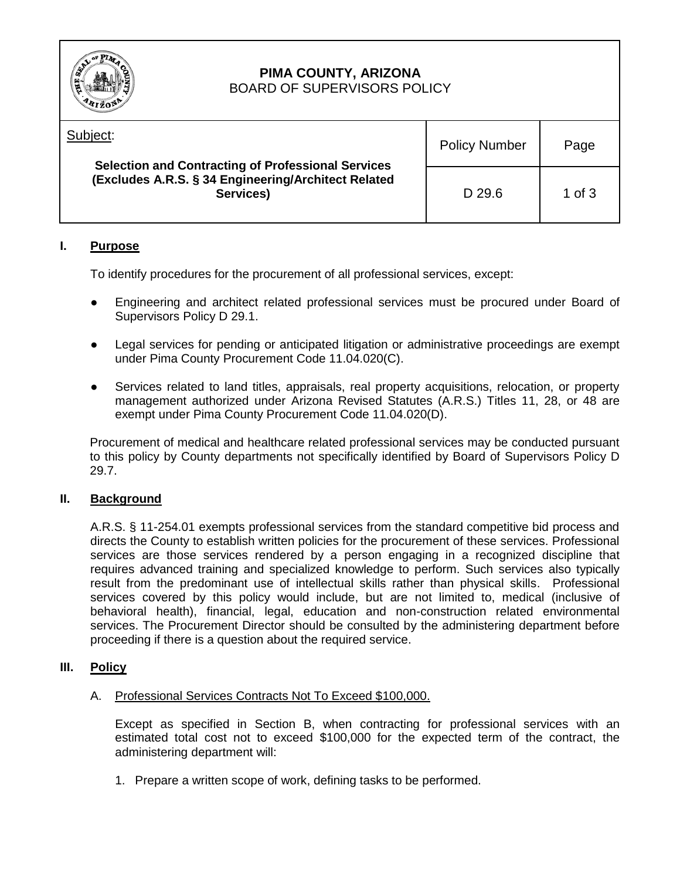

### **PIMA COUNTY, ARIZONA** BOARD OF SUPERVISORS POLICY

| <b>RIZON</b>                                                                                                                              |                      |          |
|-------------------------------------------------------------------------------------------------------------------------------------------|----------------------|----------|
| Subject:<br><b>Selection and Contracting of Professional Services</b><br>(Excludes A.R.S. § 34 Engineering/Architect Related<br>Services) | <b>Policy Number</b> | Page     |
|                                                                                                                                           | D 29.6               | 1 of $3$ |

# **I. Purpose**

To identify procedures for the procurement of all professional services, except:

- Engineering and architect related professional services must be procured under Board of Supervisors Policy D 29.1.
- Legal services for pending or anticipated litigation or administrative proceedings are exempt under Pima County Procurement Code 11.04.020(C).
- Services related to land titles, appraisals, real property acquisitions, relocation, or property management authorized under Arizona Revised Statutes (A.R.S.) Titles 11, 28, or 48 are exempt under Pima County Procurement Code 11.04.020(D).

Procurement of medical and healthcare related professional services may be conducted pursuant to this policy by County departments not specifically identified by Board of Supervisors Policy D 29.7.

# **II. Background**

A.R.S. § 11-254.01 exempts professional services from the standard competitive bid process and directs the County to establish written policies for the procurement of these services. Professional services are those services rendered by a person engaging in a recognized discipline that requires advanced training and specialized knowledge to perform. Such services also typically result from the predominant use of intellectual skills rather than physical skills. Professional services covered by this policy would include, but are not limited to, medical (inclusive of behavioral health), financial, legal, education and non-construction related environmental services. The Procurement Director should be consulted by the administering department before proceeding if there is a question about the required service.

# **III. Policy**

A. Professional Services Contracts Not To Exceed \$100,000.

Except as specified in Section B, when contracting for professional services with an estimated total cost not to exceed \$100,000 for the expected term of the contract, the administering department will:

1. Prepare a written scope of work, defining tasks to be performed.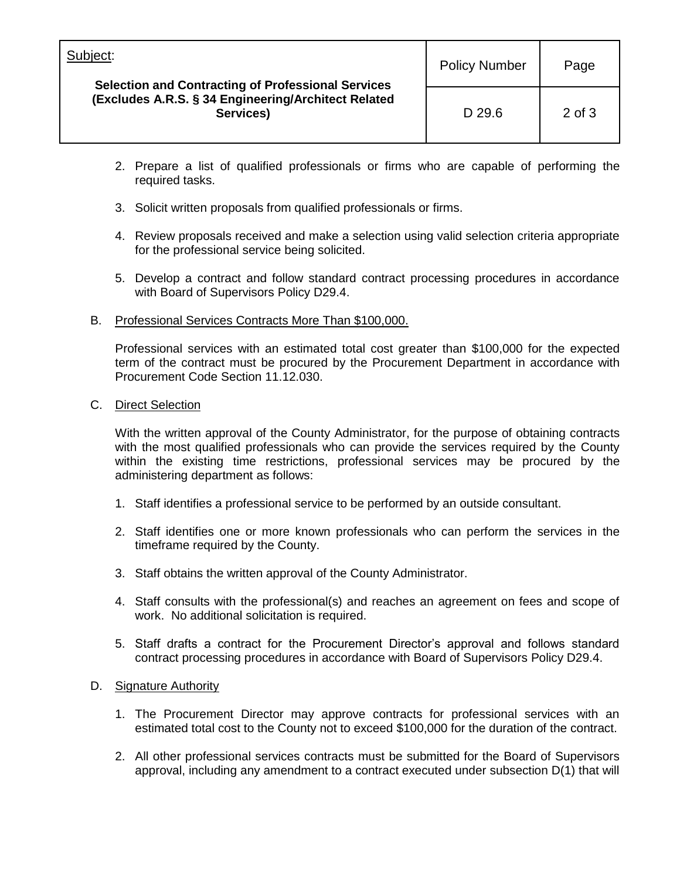| Subject:                                                                                                                      | <b>Policy Number</b> | Page       |
|-------------------------------------------------------------------------------------------------------------------------------|----------------------|------------|
| <b>Selection and Contracting of Professional Services</b><br>(Excludes A.R.S. § 34 Engineering/Architect Related<br>Services) | D 29.6               | $2$ of $3$ |

- 2. Prepare a list of qualified professionals or firms who are capable of performing the required tasks.
- 3. Solicit written proposals from qualified professionals or firms.
- 4. Review proposals received and make a selection using valid selection criteria appropriate for the professional service being solicited.
- 5. Develop a contract and follow standard contract processing procedures in accordance with Board of Supervisors Policy D29.4.

#### B. Professional Services Contracts More Than \$100,000.

Professional services with an estimated total cost greater than \$100,000 for the expected term of the contract must be procured by the Procurement Department in accordance with Procurement Code Section 11.12.030.

#### C. Direct Selection

With the written approval of the County Administrator, for the purpose of obtaining contracts with the most qualified professionals who can provide the services required by the County within the existing time restrictions, professional services may be procured by the administering department as follows:

- 1. Staff identifies a professional service to be performed by an outside consultant.
- 2. Staff identifies one or more known professionals who can perform the services in the timeframe required by the County.
- 3. Staff obtains the written approval of the County Administrator.
- 4. Staff consults with the professional(s) and reaches an agreement on fees and scope of work. No additional solicitation is required.
- 5. Staff drafts a contract for the Procurement Director's approval and follows standard contract processing procedures in accordance with Board of Supervisors Policy D29.4.

#### D. Signature Authority

- 1. The Procurement Director may approve contracts for professional services with an estimated total cost to the County not to exceed \$100,000 for the duration of the contract.
- 2. All other professional services contracts must be submitted for the Board of Supervisors approval, including any amendment to a contract executed under subsection D(1) that will